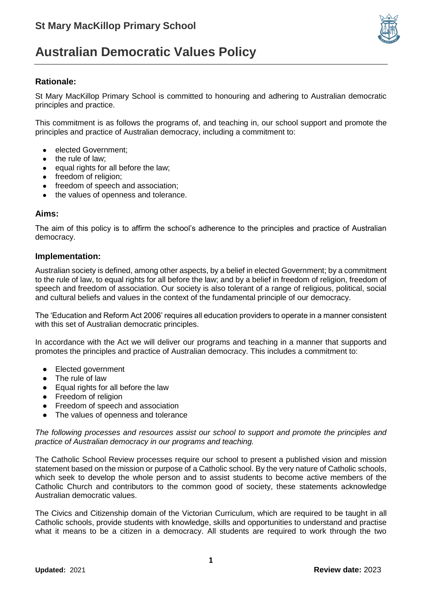

## **Australian Democratic Values Policy**

### **Rationale:**

St Mary MacKillop Primary School is committed to honouring and adhering to Australian democratic principles and practice.

This commitment is as follows the programs of, and teaching in, our school support and promote the principles and practice of Australian democracy, including a commitment to:

- elected Government;
- the rule of law;
- equal rights for all before the law;
- freedom of religion:
- freedom of speech and association;
- the values of openness and tolerance.

#### **Aims:**

The aim of this policy is to affirm the school's adherence to the principles and practice of Australian democracy.

#### **Implementation:**

Australian society is defined, among other aspects, by a belief in elected Government; by a commitment to the rule of law, to equal rights for all before the law; and by a belief in freedom of religion, freedom of speech and freedom of association. Our society is also tolerant of a range of religious, political, social and cultural beliefs and values in the context of the fundamental principle of our democracy.

The 'Education and Reform Act 2006' requires all education providers to operate in a manner consistent with this set of Australian democratic principles.

In accordance with the Act we will deliver our programs and teaching in a manner that supports and promotes the principles and practice of Australian democracy. This includes a commitment to:

- Elected government
- The rule of law
- Equal rights for all before the law
- Freedom of religion
- Freedom of speech and association
- The values of openness and tolerance

*The following processes and resources assist our school to support and promote the principles and practice of Australian democracy in our programs and teaching.*

The Catholic School Review processes require our school to present a published vision and mission statement based on the mission or purpose of a Catholic school. By the very nature of Catholic schools, which seek to develop the whole person and to assist students to become active members of the Catholic Church and contributors to the common good of society, these statements acknowledge Australian democratic values.

The Civics and Citizenship domain of the Victorian Curriculum, which are required to be taught in all Catholic schools, provide students with knowledge, skills and opportunities to understand and practise what it means to be a citizen in a democracy. All students are required to work through the two